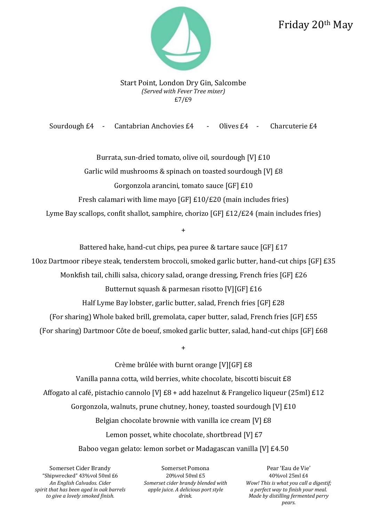## Friday 20th May



Start Point, London Dry Gin, Salcombe *(Served with Fever Tree mixer)* £7/£9

Sourdough £4 - Cantabrian Anchovies £4 - Olives £4 - Charcuterie £4

Burrata, sun-dried tomato, olive oil, sourdough [V] £10 Garlic wild mushrooms & spinach on toasted sourdough [V] £8 Gorgonzola arancini, tomato sauce [GF] £10 Fresh calamari with lime mayo [GF] £10/£20 (main includes fries) Lyme Bay scallops, confit shallot, samphire, chorizo [GF] £12/£24 (main includes fries)

+

Battered hake, hand-cut chips, pea puree & tartare sauce [GF] £17

10oz Dartmoor ribeye steak, tenderstem broccoli, smoked garlic butter, hand-cut chips [GF] £35

Monkfish tail, chilli salsa, chicory salad, orange dressing, French fries [GF] £26

Butternut squash & parmesan risotto [V][GF] £16

Half Lyme Bay lobster, garlic butter, salad, French fries [GF] £28

(For sharing) Whole baked brill, gremolata, caper butter, salad, French fries [GF] £55

(For sharing) Dartmoor Côte de boeuf, smoked garlic butter, salad, hand-cut chips [GF] £68

+

Crème brûlée with burnt orange [V][GF] £8 Vanilla panna cotta, wild berries, white chocolate, biscotti biscuit £8 Affogato al café, pistachio cannolo [V] £8 + add hazelnut & Frangelico liqueur (25ml) £12 Gorgonzola, walnuts, prune chutney, honey, toasted sourdough [V] £10 Belgian chocolate brownie with vanilla ice cream [V] £8 Lemon posset, white chocolate, shortbread [V] £7 Baboo vegan gelato: lemon sorbet or Madagascan vanilla [V] £4.50

Somerset Cider Brandy Somerset Pomona Pear 'Eau de Vie' *An English Calvados. Cider spirit that has been aged in oak barrels to give a lovely smoked finish.*

"Shipwrecked" 43%vol 50ml £6 20%vol 50ml £5 40%vol 25ml £4 *Somerset cider brandy blended with apple juice. A delicious port style drink.*

*Wow! This is what you call a digestif; a perfect way to finish your meal. Made by distilling fermented perry pears.*